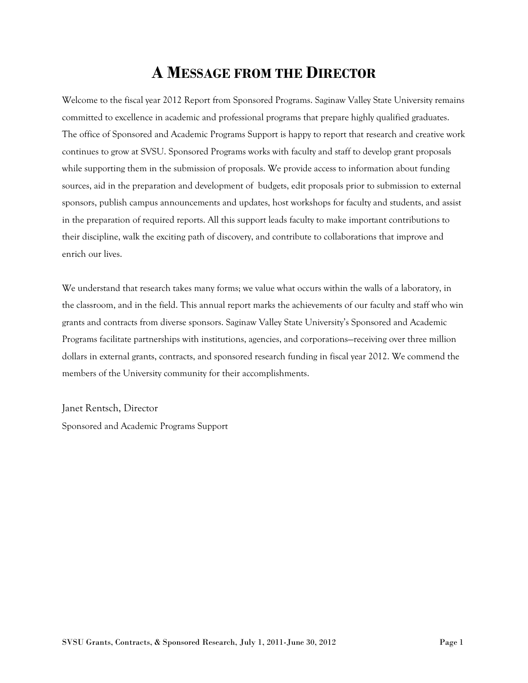## **A MESSAGE FROM THE DIRECTOR**

Welcome to the fiscal year 2012 Report from Sponsored Programs. Saginaw Valley State University remains committed to excellence in academic and professional programs that prepare highly qualified graduates. The office of Sponsored and Academic Programs Support is happy to report that research and creative work continues to grow at SVSU. Sponsored Programs works with faculty and staff to develop grant proposals while supporting them in the submission of proposals. We provide access to information about funding sources, aid in the preparation and development of budgets, edit proposals prior to submission to external sponsors, publish campus announcements and updates, host workshops for faculty and students, and assist in the preparation of required reports. All this support leads faculty to make important contributions to their discipline, walk the exciting path of discovery, and contribute to collaborations that improve and enrich our lives.

We understand that research takes many forms; we value what occurs within the walls of a laboratory, in the classroom, and in the field. This annual report marks the achievements of our faculty and staff who win grants and contracts from diverse sponsors. Saginaw Valley State University's Sponsored and Academic Programs facilitate partnerships with institutions, agencies, and corporations—receiving over three million dollars in external grants, contracts, and sponsored research funding in fiscal year 2012. We commend the members of the University community for their accomplishments.

Janet Rentsch, Director Sponsored and Academic Programs Support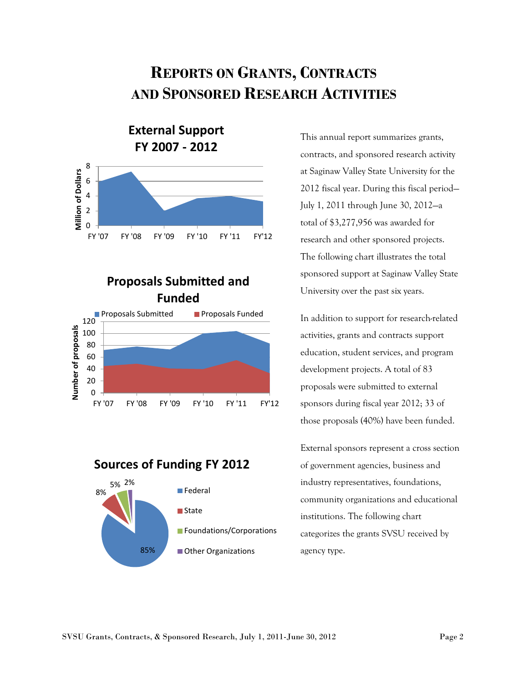# **REPORTS ON GRANTS, CONTRACTS AND SPONSORED RESEARCH ACTIVITIES**



### **Proposals Submitted and Funded**



#### **Sources of Funding FY 2012**



This annual report summarizes grants, contracts, and sponsored research activity at Saginaw Valley State University for the 2012 fiscal year. During this fiscal period— July 1, 2011 through June 30, 2012—a total of \$3,277,956 was awarded for research and other sponsored projects. The following chart illustrates the total sponsored support at Saginaw Valley State University over the past six years.

In addition to support for research-related activities, grants and contracts support education, student services, and program development projects. A total of 83 proposals were submitted to external sponsors during fiscal year 2012; 33 of those proposals (40%) have been funded.

External sponsors represent a cross section of government agencies, business and industry representatives, foundations, community organizations and educational institutions. The following chart categorizes the grants SVSU received by agency type.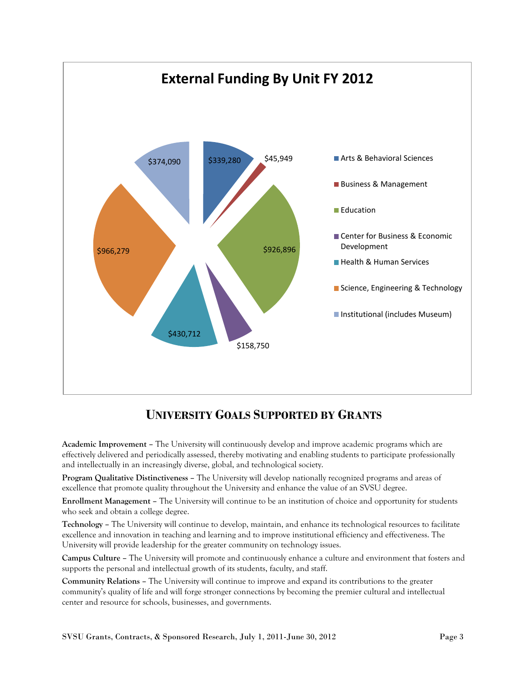

## **UNIVERSITY GOALS SUPPORTED BY GRANTS**

**Academic Improvement –** The University will continuously develop and improve academic programs which are effectively delivered and periodically assessed, thereby motivating and enabling students to participate professionally and intellectually in an increasingly diverse, global, and technological society.

**Program Qualitative Distinctiveness –** The University will develop nationally recognized programs and areas of excellence that promote quality throughout the University and enhance the value of an SVSU degree.

**Enrollment Management –** The University will continue to be an institution of choice and opportunity for students who seek and obtain a college degree.

**Technology –** The University will continue to develop, maintain, and enhance its technological resources to facilitate excellence and innovation in teaching and learning and to improve institutional efficiency and effectiveness. The University will provide leadership for the greater community on technology issues.

**Campus Culture –** The University will promote and continuously enhance a culture and environment that fosters and supports the personal and intellectual growth of its students, faculty, and staff.

**Community Relations –** The University will continue to improve and expand its contributions to the greater community's quality of life and will forge stronger connections by becoming the premier cultural and intellectual center and resource for schools, businesses, and governments.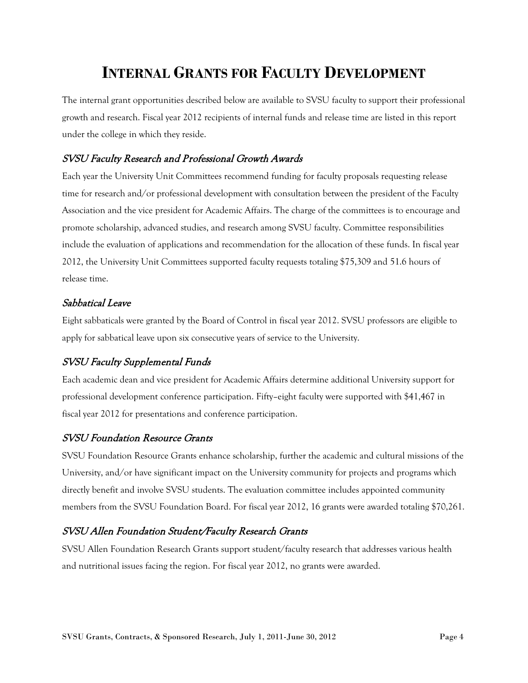# **INTERNAL GRANTS FOR FACULTY DEVELOPMENT**

The internal grant opportunities described below are available to SVSU faculty to support their professional growth and research. Fiscal year 2012 recipients of internal funds and release time are listed in this report under the college in which they reside.

#### SVSU Faculty Research and Professional Growth Awards

Each year the University Unit Committees recommend funding for faculty proposals requesting release time for research and/or professional development with consultation between the president of the Faculty Association and the vice president for Academic Affairs. The charge of the committees is to encourage and promote scholarship, advanced studies, and research among SVSU faculty. Committee responsibilities include the evaluation of applications and recommendation for the allocation of these funds. In fiscal year 2012, the University Unit Committees supported faculty requests totaling \$75,309 and 51.6 hours of release time.

#### Sabbatical Leave

Eight sabbaticals were granted by the Board of Control in fiscal year 2012. SVSU professors are eligible to apply for sabbatical leave upon six consecutive years of service to the University.

#### SVSU Faculty Supplemental Funds

Each academic dean and vice president for Academic Affairs determine additional University support for professional development conference participation. Fifty–eight faculty were supported with \$41,467 in fiscal year 2012 for presentations and conference participation.

#### SVSU Foundation Resource Grants

SVSU Foundation Resource Grants enhance scholarship, further the academic and cultural missions of the University, and/or have significant impact on the University community for projects and programs which directly benefit and involve SVSU students. The evaluation committee includes appointed community members from the SVSU Foundation Board. For fiscal year 2012, 16 grants were awarded totaling \$70,261.

#### SVSU Allen Foundation Student/Faculty Research Grants

SVSU Allen Foundation Research Grants support student/faculty research that addresses various health and nutritional issues facing the region. For fiscal year 2012, no grants were awarded.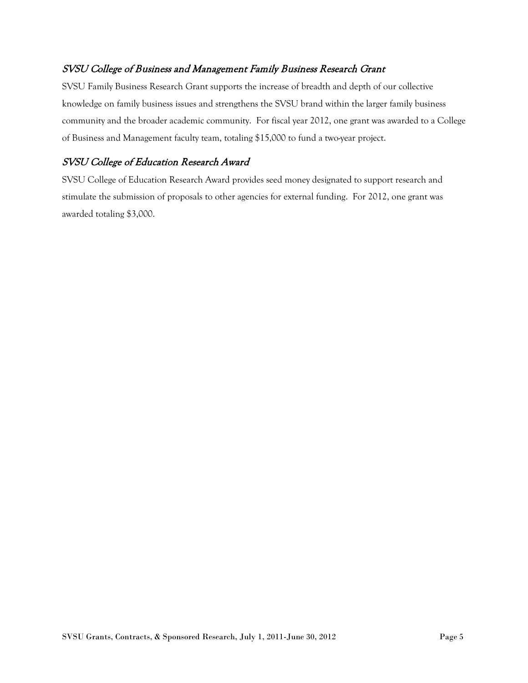#### SVSU College of Business and Management Family Business Research Grant

SVSU Family Business Research Grant supports the increase of breadth and depth of our collective knowledge on family business issues and strengthens the SVSU brand within the larger family business community and the broader academic community. For fiscal year 2012, one grant was awarded to a College of Business and Management faculty team, totaling \$15,000 to fund a two-year project.

#### SVSU College of Education Research Award

SVSU College of Education Research Award provides seed money designated to support research and stimulate the submission of proposals to other agencies for external funding. For 2012, one grant was awarded totaling \$3,000.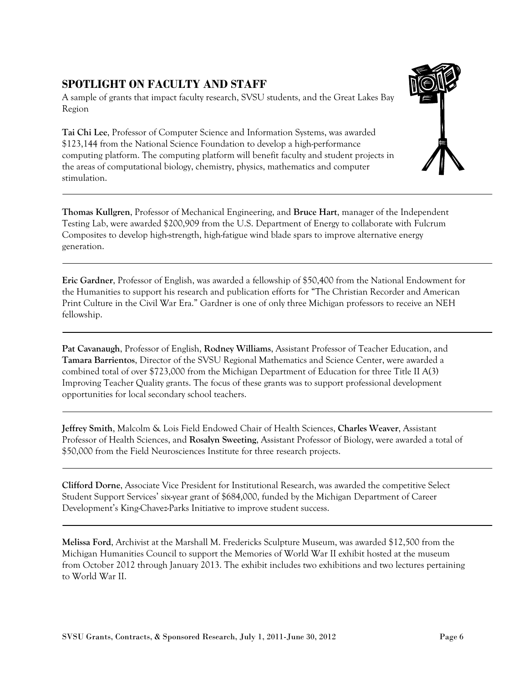#### **SPOTLIGHT ON FACULTY AND STAFF**

A sample of grants that impact faculty research, SVSU students, and the Great Lakes Bay Region

**Tai Chi Lee**, Professor of Computer Science and Information Systems, was awarded \$123,144 from the National Science Foundation to develop a high-performance computing platform. The computing platform will benefit faculty and student projects in the areas of computational biology, chemistry, physics, mathematics and computer stimulation.



**Thomas Kullgren**, Professor of Mechanical Engineering, and **Bruce Hart**, manager of the Independent Testing Lab, were awarded \$200,909 from the U.S. Department of Energy to collaborate with Fulcrum Composites to develop high-strength, high-fatigue wind blade spars to improve alternative energy generation.

**Eric Gardner**, Professor of English, was awarded a fellowship of \$50,400 from the National Endowment for the Humanities to support his research and publication efforts for "The Christian Recorder and American Print Culture in the Civil War Era." Gardner is one of only three Michigan professors to receive an NEH fellowship.

**Pat Cavanaugh**, Professor of English, **Rodney Williams**, Assistant Professor of Teacher Education, and **Tamara Barrientos**, Director of the SVSU Regional Mathematics and Science Center, were awarded a combined total of over \$723,000 from the Michigan Department of Education for three Title II A(3) Improving Teacher Quality grants. The focus of these grants was to support professional development opportunities for local secondary school teachers.

**Jeffrey Smith**, Malcolm & Lois Field Endowed Chair of Health Sciences, **Charles Weaver**, Assistant Professor of Health Sciences, and **Rosalyn Sweeting**, Assistant Professor of Biology, were awarded a total of \$50,000 from the Field Neurosciences Institute for three research projects.

**Clifford Dorne**, Associate Vice President for Institutional Research, was awarded the competitive Select Student Support Services' six-year grant of \$684,000, funded by the Michigan Department of Career Development's King-Chavez-Parks Initiative to improve student success.

**Melissa Ford**, Archivist at the Marshall M. Fredericks Sculpture Museum, was awarded \$12,500 from the Michigan Humanities Council to support the Memories of World War II exhibit hosted at the museum from October 2012 through January 2013. The exhibit includes two exhibitions and two lectures pertaining to World War II.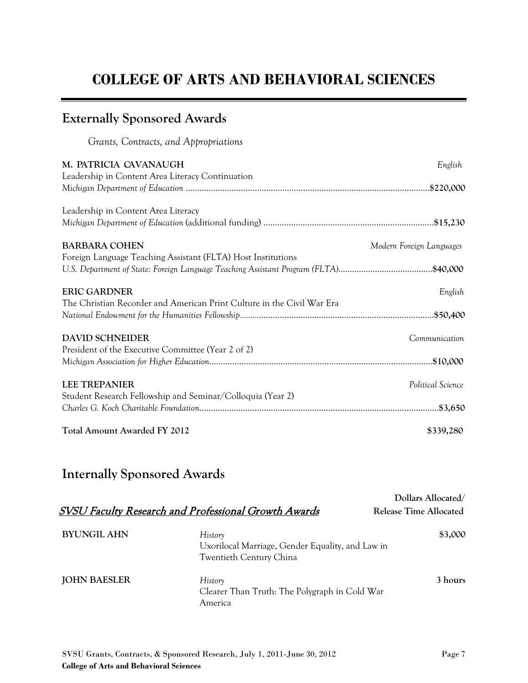# **COLLEGE OF ARTS AND BEHAVIORAL SCIENCES**

## **Externally Sponsored Awards**

*Grants, Contracts, and Appropriations*

| M. PATRICIA CAVANAUGH                                                                | English                  |
|--------------------------------------------------------------------------------------|--------------------------|
| Leadership in Content Area Literacy Continuation                                     |                          |
| Leadership in Content Area Literacy                                                  |                          |
|                                                                                      |                          |
| <b>BARBARA COHEN</b>                                                                 | Modern Foreign Languages |
| Foreign Language Teaching Assistant (FLTA) Host Institutions                         |                          |
| U.S. Department of State: Foreign Language Teaching Assistant Program (FLTA)\$40,000 |                          |
| <b>ERIC GARDNER</b>                                                                  | English                  |
| The Christian Recorder and American Print Culture in the Civil War Era               |                          |
|                                                                                      |                          |
| <b>DAVID SCHNEIDER</b>                                                               | Communication            |
| President of the Executive Committee (Year 2 of 2)                                   |                          |
|                                                                                      |                          |
| <b>LEE TREPANIER</b>                                                                 | Political Science        |
| Student Research Fellowship and Seminar/Colloquia (Year 2)                           |                          |
|                                                                                      |                          |
| <b>Total Amount Awarded FY 2012</b>                                                  | \$339,280                |

## **Internally Sponsored Awards**

|                     | <b>SVSU Faculty Research and Professional Growth Awards</b>                            | Dollars Allocated/<br>Release Time Allocated |
|---------------------|----------------------------------------------------------------------------------------|----------------------------------------------|
| <b>BYUNGIL AHN</b>  | History<br>Uxorilocal Marriage, Gender Equality, and Law in<br>Twentieth Century China | \$3,000                                      |
| <b>JOHN BAESLER</b> | History<br>Clearer Than Truth: The Polygraph in Cold War<br>America                    | 3 hours                                      |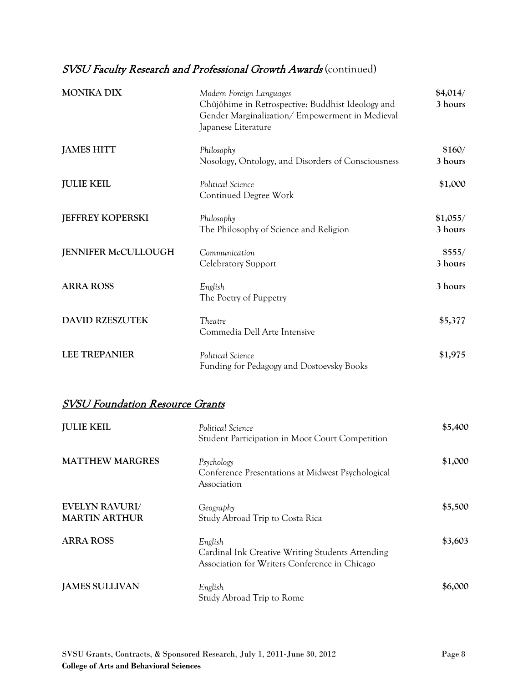## **SVSU Faculty Research and Professional Growth Awards** (continued)

| <b>MONIKA DIX</b>          | Modern Foreign Languages<br>Chûjôhime in Retrospective: Buddhist Ideology and<br>Gender Marginalization/Empowerment in Medieval<br>Japanese Literature | \$4,014/<br>3 hours |
|----------------------------|--------------------------------------------------------------------------------------------------------------------------------------------------------|---------------------|
| <b>JAMES HITT</b>          | Philosophy<br>Nosology, Ontology, and Disorders of Consciousness                                                                                       | \$160/<br>3 hours   |
| <b>JULIE KEIL</b>          | Political Science<br>Continued Degree Work                                                                                                             | \$1,000             |
| <b>JEFFREY KOPERSKI</b>    | Philosophy<br>The Philosophy of Science and Religion                                                                                                   | \$1,055/<br>3 hours |
| <b>JENNIFER McCULLOUGH</b> | Communication<br>Celebratory Support                                                                                                                   | \$555/<br>3 hours   |
| <b>ARRA ROSS</b>           | English<br>The Poetry of Puppetry                                                                                                                      | 3 hours             |
| <b>DAVID RZESZUTEK</b>     | Theatre<br>Commedia Dell Arte Intensive                                                                                                                | \$5,377             |
| <b>LEE TREPANIER</b>       | Political Science<br>Funding for Pedagogy and Dostoevsky Books                                                                                         | \$1,975             |

### SVSU Foundation Resource Grants

| <b>JULIE KEIL</b>                             | Political Science<br>Student Participation in Moot Court Competition                                         | \$5,400 |
|-----------------------------------------------|--------------------------------------------------------------------------------------------------------------|---------|
| <b>MATTHEW MARGRES</b>                        | Psychology<br>Conference Presentations at Midwest Psychological<br>Association                               | \$1,000 |
| <b>EVELYN RAVURI/</b><br><b>MARTIN ARTHUR</b> | Geography<br>Study Abroad Trip to Costa Rica                                                                 | \$5,500 |
| <b>ARRA ROSS</b>                              | English<br>Cardinal Ink Creative Writing Students Attending<br>Association for Writers Conference in Chicago | \$3,603 |
| <b>JAMES SULLIVAN</b>                         | English<br>Study Abroad Trip to Rome                                                                         | \$6,000 |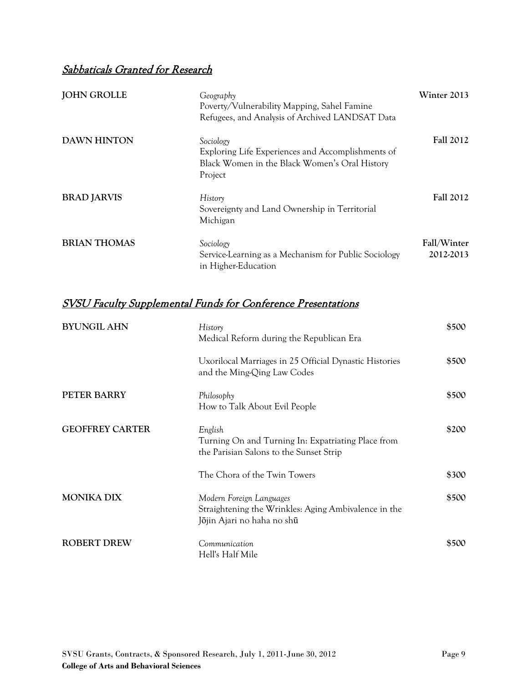### Sabbaticals Granted for Research

| <b>JOHN GROLLE</b>  | Geography<br>Poverty/Vulnerability Mapping, Sahel Famine<br>Refugees, and Analysis of Archived LANDSAT Data                | Winter 2013              |
|---------------------|----------------------------------------------------------------------------------------------------------------------------|--------------------------|
| <b>DAWN HINTON</b>  | Sociology<br>Exploring Life Experiences and Accomplishments of<br>Black Women in the Black Women's Oral History<br>Project | <b>Fall 2012</b>         |
| <b>BRAD JARVIS</b>  | History<br>Sovereignty and Land Ownership in Territorial<br>Michigan                                                       | <b>Fall 2012</b>         |
| <b>BRIAN THOMAS</b> | Sociology<br>Service-Learning as a Mechanism for Public Sociology<br>in Higher-Education                                   | Fall/Winter<br>2012-2013 |

| <b>BYUNGIL AHN</b>     | History<br>Medical Reform during the Republican Era                                                            | \$500 |
|------------------------|----------------------------------------------------------------------------------------------------------------|-------|
|                        | Uxorilocal Marriages in 25 Official Dynastic Histories<br>and the Ming-Qing Law Codes                          | \$500 |
| PETER BARRY            | Philosophy<br>How to Talk About Evil People                                                                    | \$500 |
| <b>GEOFFREY CARTER</b> | English<br>Turning On and Turning In: Expatriating Place from<br>the Parisian Salons to the Sunset Strip       | \$200 |
|                        | The Chora of the Twin Towers                                                                                   | \$300 |
| <b>MONIKA DIX</b>      | Modern Foreign Languages<br>Straightening the Wrinkles: Aging Ambivalence in the<br>Jōjin Ajari no haha no shū | \$500 |
| <b>ROBERT DREW</b>     | Communication<br>Hell's Half Mile                                                                              | \$500 |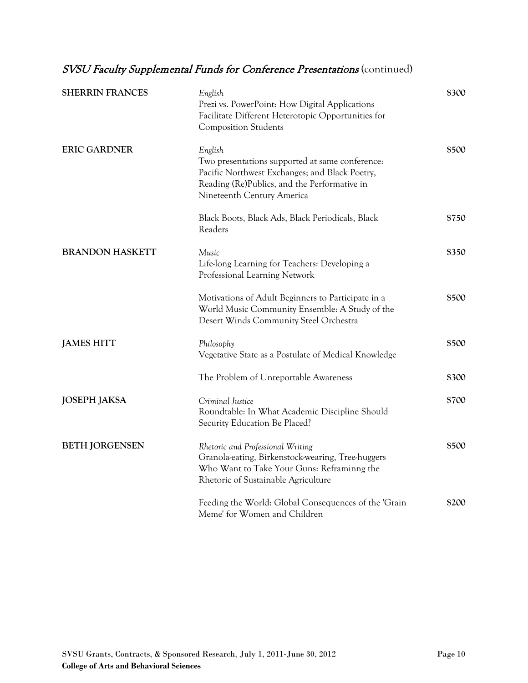| <b>SHERRIN FRANCES</b> | English<br>Prezi vs. PowerPoint: How Digital Applications<br>Facilitate Different Heterotopic Opportunities for<br><b>Composition Students</b>                                             | \$300 |
|------------------------|--------------------------------------------------------------------------------------------------------------------------------------------------------------------------------------------|-------|
| <b>ERIC GARDNER</b>    | English<br>Two presentations supported at same conference:<br>Pacific Northwest Exchanges; and Black Poetry,<br>Reading (Re)Publics, and the Performative in<br>Nineteenth Century America | \$500 |
|                        | Black Boots, Black Ads, Black Periodicals, Black<br>Readers                                                                                                                                | \$750 |
| <b>BRANDON HASKETT</b> | Music<br>Life-long Learning for Teachers: Developing a<br>Professional Learning Network                                                                                                    | \$350 |
|                        | Motivations of Adult Beginners to Participate in a<br>World Music Community Ensemble: A Study of the<br>Desert Winds Community Steel Orchestra                                             | \$500 |
| <b>JAMES HITT</b>      | Philosophy<br>Vegetative State as a Postulate of Medical Knowledge                                                                                                                         | \$500 |
|                        | The Problem of Unreportable Awareness                                                                                                                                                      | \$300 |
| <b>JOSEPH JAKSA</b>    | Criminal Justice<br>Roundtable: In What Academic Discipline Should<br>Security Education Be Placed?                                                                                        | \$700 |
| <b>BETH JORGENSEN</b>  | Rhetoric and Professional Writing<br>Granola-eating, Birkenstock-wearing, Tree-huggers<br>Who Want to Take Your Guns: Reframinng the<br>Rhetoric of Sustainable Agriculture                | \$500 |
|                        | Feeding the World: Global Consequences of the 'Grain<br>Meme' for Women and Children                                                                                                       | \$200 |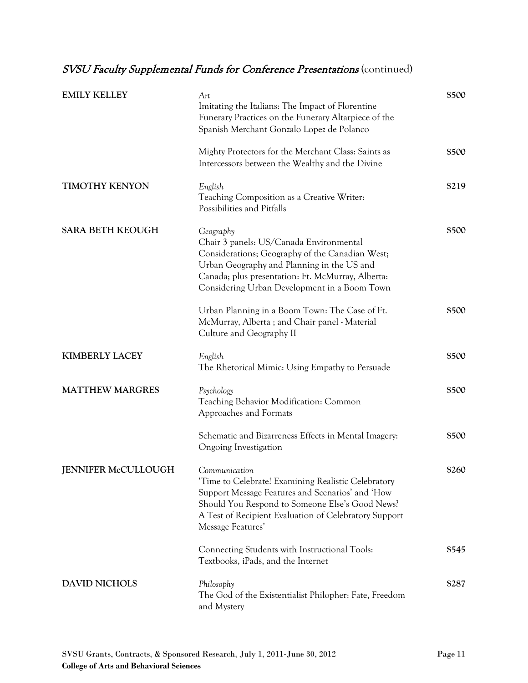| <b>EMILY KELLEY</b>     | Art<br>Imitating the Italians: The Impact of Florentine<br>Funerary Practices on the Funerary Altarpiece of the<br>Spanish Merchant Gonzalo Lopez de Polanco                                                                                               | \$500 |
|-------------------------|------------------------------------------------------------------------------------------------------------------------------------------------------------------------------------------------------------------------------------------------------------|-------|
|                         | Mighty Protectors for the Merchant Class: Saints as<br>Intercessors between the Wealthy and the Divine                                                                                                                                                     | \$500 |
| <b>TIMOTHY KENYON</b>   | English<br>Teaching Composition as a Creative Writer:<br>Possibilities and Pitfalls                                                                                                                                                                        | \$219 |
| <b>SARA BETH KEOUGH</b> | Geography<br>Chair 3 panels: US/Canada Environmental<br>Considerations; Geography of the Canadian West;<br>Urban Geography and Planning in the US and<br>Canada; plus presentation: Ft. McMurray, Alberta:<br>Considering Urban Development in a Boom Town | \$500 |
|                         | Urban Planning in a Boom Town: The Case of Ft.<br>McMurray, Alberta ; and Chair panel - Material<br>Culture and Geography II                                                                                                                               | \$500 |
| <b>KIMBERLY LACEY</b>   | English<br>The Rhetorical Mimic: Using Empathy to Persuade                                                                                                                                                                                                 | \$500 |
| <b>MATTHEW MARGRES</b>  | Psychology<br>Teaching Behavior Modification: Common<br>Approaches and Formats                                                                                                                                                                             | \$500 |
|                         | Schematic and Bizarreness Effects in Mental Imagery:<br>Ongoing Investigation                                                                                                                                                                              | \$500 |
| JENNIFER McCULLOUGH     | Communication<br>'Time to Celebrate! Examining Realistic Celebratory<br>Support Message Features and Scenarios' and 'How<br>Should You Respond to Someone Else's Good News?<br>A Test of Recipient Evaluation of Celebratory Support<br>Message Features'  | \$260 |
|                         | Connecting Students with Instructional Tools:<br>Textbooks, iPads, and the Internet                                                                                                                                                                        | \$545 |
| <b>DAVID NICHOLS</b>    | Philosophy<br>The God of the Existentialist Philopher: Fate, Freedom<br>and Mystery                                                                                                                                                                        | \$287 |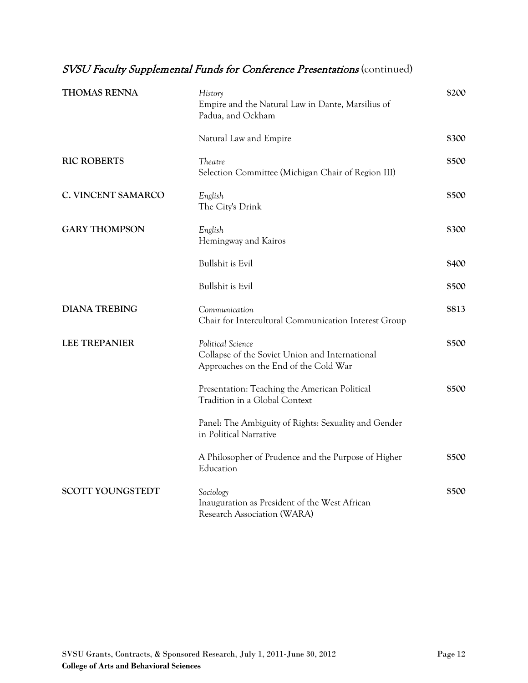| <b>THOMAS RENNA</b>     | History<br>Empire and the Natural Law in Dante, Marsilius of<br>Padua, and Ockham                            | \$200 |
|-------------------------|--------------------------------------------------------------------------------------------------------------|-------|
|                         | Natural Law and Empire                                                                                       | \$300 |
| <b>RIC ROBERTS</b>      | Theatre<br>Selection Committee (Michigan Chair of Region III)                                                | \$500 |
| C. VINCENT SAMARCO      | English<br>The City's Drink                                                                                  | \$500 |
| <b>GARY THOMPSON</b>    | English<br>Hemingway and Kairos                                                                              | \$300 |
|                         | <b>Bullshit is Evil</b>                                                                                      | \$400 |
|                         | <b>Bullshit is Evil</b>                                                                                      | \$500 |
| <b>DIANA TREBING</b>    | Communication<br>Chair for Intercultural Communication Interest Group                                        | \$813 |
| <b>LEE TREPANIER</b>    | Political Science<br>Collapse of the Soviet Union and International<br>Approaches on the End of the Cold War | \$500 |
|                         | Presentation: Teaching the American Political<br>Tradition in a Global Context                               | \$500 |
|                         | Panel: The Ambiguity of Rights: Sexuality and Gender<br>in Political Narrative                               |       |
|                         | A Philosopher of Prudence and the Purpose of Higher<br>Education                                             | \$500 |
| <b>SCOTT YOUNGSTEDT</b> | Sociology<br>Inauguration as President of the West African<br>Research Association (WARA)                    | \$500 |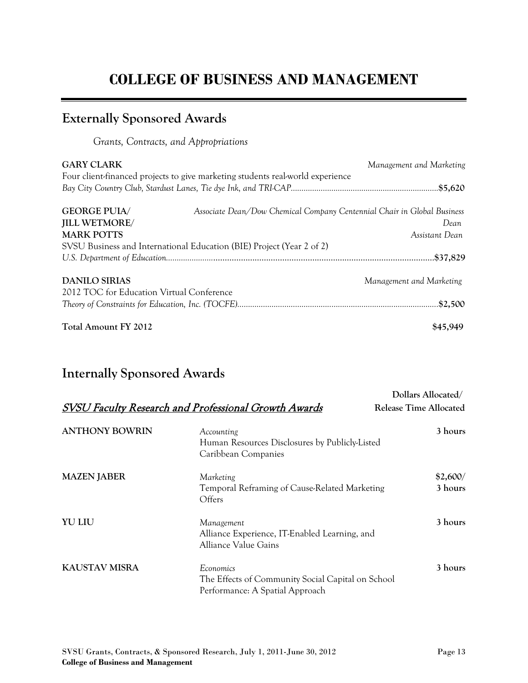# **COLLEGE OF BUSINESS AND MANAGEMENT**

## **Externally Sponsored Awards**

*Grants, Contracts, and Appropriations*

| <b>GARY CLARK</b>                         | Four client-financed projects to give marketing students real-world experience | Management and Marketing |
|-------------------------------------------|--------------------------------------------------------------------------------|--------------------------|
|                                           |                                                                                |                          |
| <b>GEORGE PUIA/</b>                       | Associate Dean/Dow Chemical Company Centennial Chair in Global Business        |                          |
| <b>JILL WETMORE/</b>                      |                                                                                | Dean                     |
| <b>MARK POTTS</b>                         |                                                                                | Assistant Dean           |
|                                           | SVSU Business and International Education (BIE) Project (Year 2 of 2)          |                          |
|                                           |                                                                                |                          |
| <b>DANILO SIRIAS</b>                      |                                                                                | Management and Marketing |
| 2012 TOC for Education Virtual Conference |                                                                                |                          |
|                                           |                                                                                |                          |
| Total Amount FY 2012                      |                                                                                | \$45,949                 |

## **Internally Sponsored Awards**

|                       | SVSU Faculty Research and Professional Growth Awards                                              | Dollars Allocated/<br>Release Time Allocated |
|-----------------------|---------------------------------------------------------------------------------------------------|----------------------------------------------|
|                       |                                                                                                   |                                              |
| <b>ANTHONY BOWRIN</b> | Accounting<br>Human Resources Disclosures by Publicly-Listed<br>Caribbean Companies               | 3 hours                                      |
| <b>MAZEN JABER</b>    | Marketing<br>Temporal Reframing of Cause-Related Marketing<br>Offers                              | \$2,600/<br>3 hours                          |
| <b>YU LIU</b>         | Management<br>Alliance Experience, IT-Enabled Learning, and<br><b>Alliance Value Gains</b>        | 3 hours                                      |
| <b>KAUSTAV MISRA</b>  | Economics<br>The Effects of Community Social Capital on School<br>Performance: A Spatial Approach | 3 hours                                      |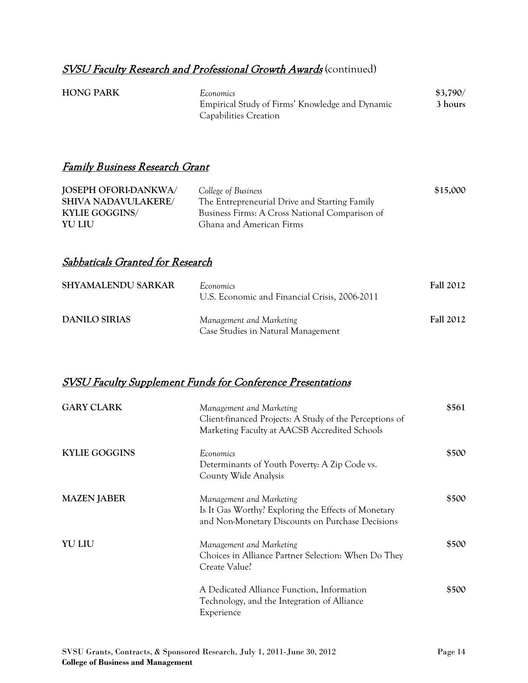#### **SVSU Faculty Research and Professional Growth Awards** (continued)

| <b>HONG PARK</b> | Economics                                       | \$3,790/ |
|------------------|-------------------------------------------------|----------|
|                  | Empirical Study of Firms' Knowledge and Dynamic | 3 hours  |
|                  | Capabilities Creation                           |          |

#### Family Business Research Grant

| JOSEPH OFORI-DANKWA/       | College of Business                            | \$15,000 |
|----------------------------|------------------------------------------------|----------|
| <b>SHIVA NADAVULAKERE/</b> | The Entrepreneurial Drive and Starting Family  |          |
| <b>KYLIE GOGGINS/</b>      | Business Firms: A Cross National Comparison of |          |
| <b>YU LIU</b>              | Ghana and American Firms                       |          |

#### Sabbaticals Granted for Research

| <b>SHYAMALENDU SARKAR</b> | Economics<br>U.S. Economic and Financial Crisis, 2006-2011     | <b>Fall 2012</b> |
|---------------------------|----------------------------------------------------------------|------------------|
| DANILO SIRIAS             | Management and Marketing<br>Case Studies in Natural Management | <b>Fall 2012</b> |

#### SVSU Faculty Supplement Funds for Conference Presentations

| <b>GARY CLARK</b>    | Management and Marketing<br>Client-financed Projects: A Study of the Perceptions of<br>Marketing Faculty at AACSB Accredited Schools | \$561 |
|----------------------|--------------------------------------------------------------------------------------------------------------------------------------|-------|
| <b>KYLIE GOGGINS</b> | Economics<br>Determinants of Youth Poverty: A Zip Code vs.<br>County Wide Analysis                                                   | \$500 |
| <b>MAZEN JABER</b>   | Management and Marketing<br>Is It Gas Worthy? Exploring the Effects of Monetary<br>and Non-Monetary Discounts on Purchase Decisions  | \$500 |
| <b>YU LIU</b>        | Management and Marketing<br>Choices in Alliance Partner Selection: When Do They<br>Create Value?                                     | \$500 |
|                      | A Dedicated Alliance Function, Information<br>Technology, and the Integration of Alliance<br>Experience                              | \$500 |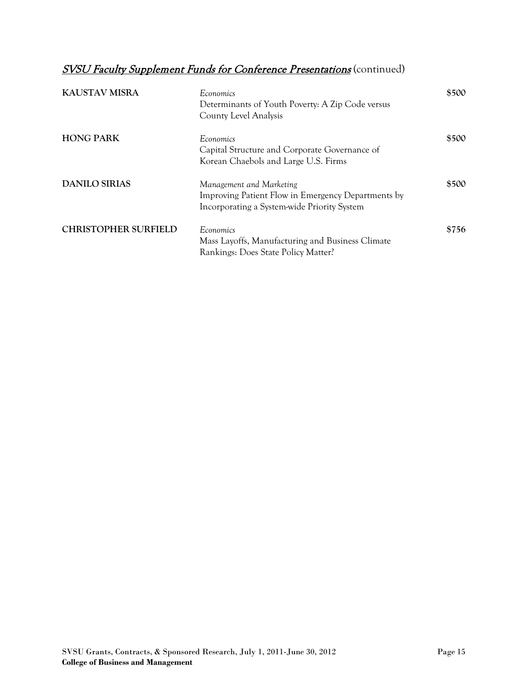| <b>KAUSTAV MISRA</b>        | Economics<br>Determinants of Youth Poverty: A Zip Code versus<br>County Level Analysis                                        | \$500 |
|-----------------------------|-------------------------------------------------------------------------------------------------------------------------------|-------|
| <b>HONG PARK</b>            | Economics<br>Capital Structure and Corporate Governance of<br>Korean Chaebols and Large U.S. Firms                            | \$500 |
| <b>DANILO SIRIAS</b>        | Management and Marketing<br>Improving Patient Flow in Emergency Departments by<br>Incorporating a System-wide Priority System | \$500 |
| <b>CHRISTOPHER SURFIELD</b> | Economics<br>Mass Layoffs, Manufacturing and Business Climate<br>Rankings: Does State Policy Matter?                          | \$756 |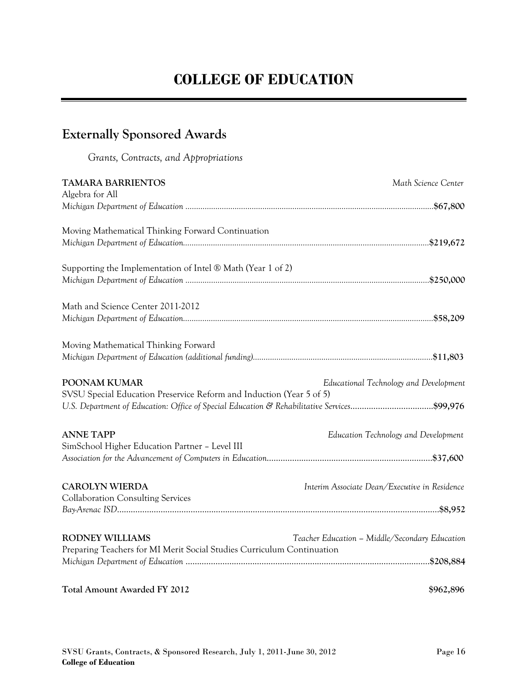## **Externally Sponsored Awards**

*Grants, Contracts, and Appropriations*

| <b>TAMARA BARRIENTOS</b><br>Algebra for All                                                                                                                                         | Math Science Center                            |
|-------------------------------------------------------------------------------------------------------------------------------------------------------------------------------------|------------------------------------------------|
|                                                                                                                                                                                     |                                                |
| Moving Mathematical Thinking Forward Continuation                                                                                                                                   |                                                |
| Supporting the Implementation of Intel ® Math (Year 1 of 2)                                                                                                                         |                                                |
| Math and Science Center 2011-2012                                                                                                                                                   |                                                |
| Moving Mathematical Thinking Forward                                                                                                                                                |                                                |
| POONAM KUMAR<br>SVSU Special Education Preservice Reform and Induction (Year 5 of 5)<br>U.S. Department of Education: Office of Special Education & Rehabilitative Services\$99,976 | Educational Technology and Development         |
| <b>ANNE TAPP</b><br>SimSchool Higher Education Partner - Level III                                                                                                                  | Education Technology and Development           |
| <b>CAROLYN WIERDA</b><br><b>Collaboration Consulting Services</b>                                                                                                                   | Interim Associate Dean/Executive in Residence  |
| <b>RODNEY WILLIAMS</b><br>Preparing Teachers for MI Merit Social Studies Curriculum Continuation                                                                                    | Teacher Education - Middle/Secondary Education |
| <b>Total Amount Awarded FY 2012</b>                                                                                                                                                 | \$962,896                                      |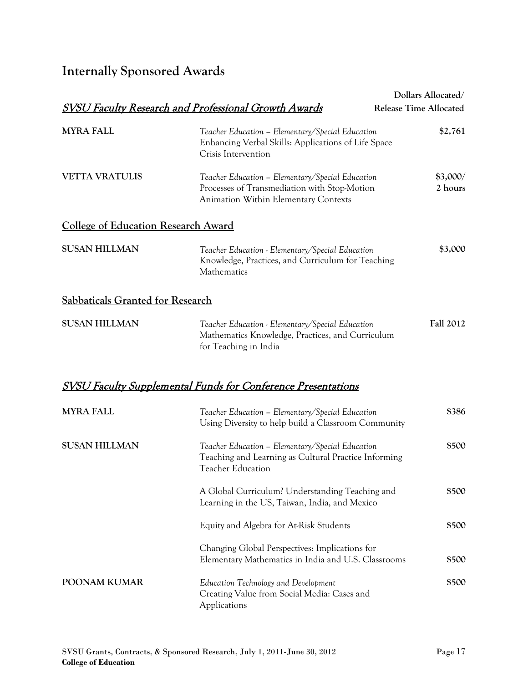# **Internally Sponsored Awards**

|                                            |                                                                                                                                                 | Dollars Allocated/            |
|--------------------------------------------|-------------------------------------------------------------------------------------------------------------------------------------------------|-------------------------------|
|                                            | <b>SVSU Faculty Research and Professional Growth Awards</b>                                                                                     | <b>Release Time Allocated</b> |
| <b>MYRA FALL</b>                           | Teacher Education - Elementary/Special Education<br>Enhancing Verbal Skills: Applications of Life Space<br>Crisis Intervention                  | \$2,761                       |
| <b>VETTA VRATULIS</b>                      | Teacher Education - Elementary/Special Education<br>Processes of Transmediation with Stop-Motion<br><b>Animation Within Elementary Contexts</b> | \$3,000/<br>2 hours           |
| <b>College of Education Research Award</b> |                                                                                                                                                 |                               |
| <b>SUSAN HILLMAN</b>                       | Teacher Education - Elementary/Special Education<br>Knowledge, Practices, and Curriculum for Teaching<br>Mathematics                            | \$3,000                       |
| <b>Sabbaticals Granted for Research</b>    |                                                                                                                                                 |                               |
| <b>SUSAN HILLMAN</b>                       | Teacher Education - Elementary/Special Education<br>Mathematics Knowledge, Practices, and Curriculum<br>for Teaching in India                   | <b>Fall 2012</b>              |
|                                            | <u>SVSU Faculty Supplemental Funds for Conference Presentations</u>                                                                             |                               |
| <b>MYRA FALL</b>                           | Teacher Education - Elementary/Special Education<br>Using Diversity to help build a Classroom Community                                         | \$386                         |
| <b>SUSAN HILLMAN</b>                       | Teacher Education - Elementary/Special Education<br>Teaching and Learning as Cultural Practice Informing<br><b>Teacher Education</b>            | \$500                         |
|                                            | A Global Curriculum? Understanding Teaching and<br>Learning in the US, Taiwan, India, and Mexico                                                | \$500                         |
|                                            | Equity and Algebra for At-Risk Students                                                                                                         | \$500                         |
|                                            | Changing Global Perspectives: Implications for<br>Elementary Mathematics in India and U.S. Classrooms                                           | \$500                         |
| POONAM KUMAR                               | Education Technology and Development<br>Creating Value from Social Media: Cases and<br>Applications                                             | \$500                         |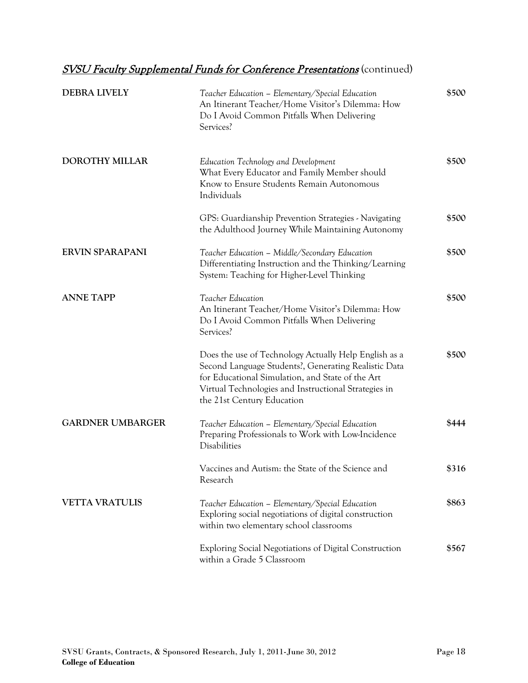| <b>DEBRA LIVELY</b>     | Teacher Education - Elementary/Special Education<br>An Itinerant Teacher/Home Visitor's Dilemma: How<br>Do I Avoid Common Pitfalls When Delivering<br>Services?                                                                                         | \$500 |
|-------------------------|---------------------------------------------------------------------------------------------------------------------------------------------------------------------------------------------------------------------------------------------------------|-------|
| <b>DOROTHY MILLAR</b>   | Education Technology and Development<br>What Every Educator and Family Member should<br>Know to Ensure Students Remain Autonomous<br>Individuals                                                                                                        | \$500 |
|                         | GPS: Guardianship Prevention Strategies - Navigating<br>the Adulthood Journey While Maintaining Autonomy                                                                                                                                                | \$500 |
| <b>ERVIN SPARAPANI</b>  | Teacher Education - Middle/Secondary Education<br>Differentiating Instruction and the Thinking/Learning<br>System: Teaching for Higher-Level Thinking                                                                                                   | \$500 |
| <b>ANNE TAPP</b>        | Teacher Education<br>An Itinerant Teacher/Home Visitor's Dilemma: How<br>Do I Avoid Common Pitfalls When Delivering<br>Services?                                                                                                                        | \$500 |
|                         | Does the use of Technology Actually Help English as a<br>Second Language Students?, Generating Realistic Data<br>for Educational Simulation, and State of the Art<br>Virtual Technologies and Instructional Strategies in<br>the 21st Century Education | \$500 |
| <b>GARDNER UMBARGER</b> | Teacher Education - Elementary/Special Education<br>Preparing Professionals to Work with Low-Incidence<br>Disabilities                                                                                                                                  | \$444 |
|                         | Vaccines and Autism: the State of the Science and<br>Research                                                                                                                                                                                           | \$316 |
| <b>VETTA VRATULIS</b>   | Teacher Education - Elementary/Special Education<br>Exploring social negotiations of digital construction<br>within two elementary school classrooms                                                                                                    | \$863 |
|                         | Exploring Social Negotiations of Digital Construction<br>within a Grade 5 Classroom                                                                                                                                                                     | \$567 |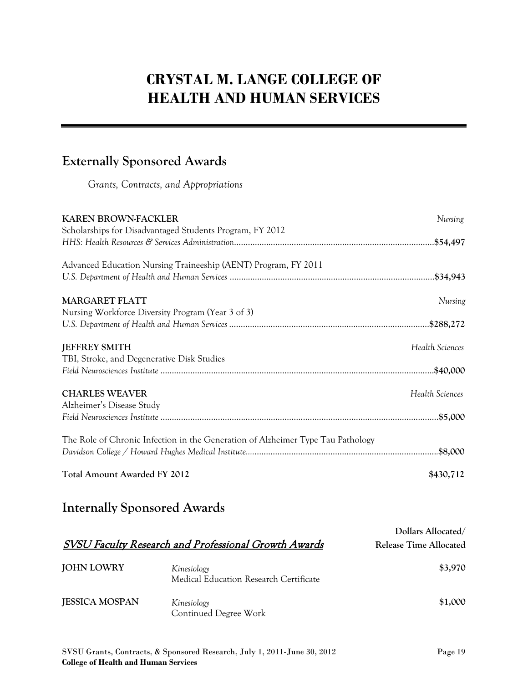# **CRYSTAL M. LANGE COLLEGE OF HEALTH AND HUMAN SERVICES**

## **Externally Sponsored Awards**

*Grants, Contracts, and Appropriations*

| Nursing         |
|-----------------|
|                 |
|                 |
|                 |
|                 |
|                 |
| Nursing         |
|                 |
|                 |
|                 |
| Health Sciences |
|                 |
|                 |
|                 |
| Health Sciences |
|                 |
|                 |
|                 |
|                 |
|                 |
|                 |
| \$430,712       |
|                 |

## **Internally Sponsored Awards**

|                       | <b>SVSU Faculty Research and Professional Growth Awards</b> | Dollars Allocated/<br>Release Time Allocated |
|-----------------------|-------------------------------------------------------------|----------------------------------------------|
| <b>JOHN LOWRY</b>     | Kinesiology<br>Medical Education Research Certificate       | \$3,970                                      |
| <b>JESSICA MOSPAN</b> | Kinesiology<br>Continued Degree Work                        | \$1,000                                      |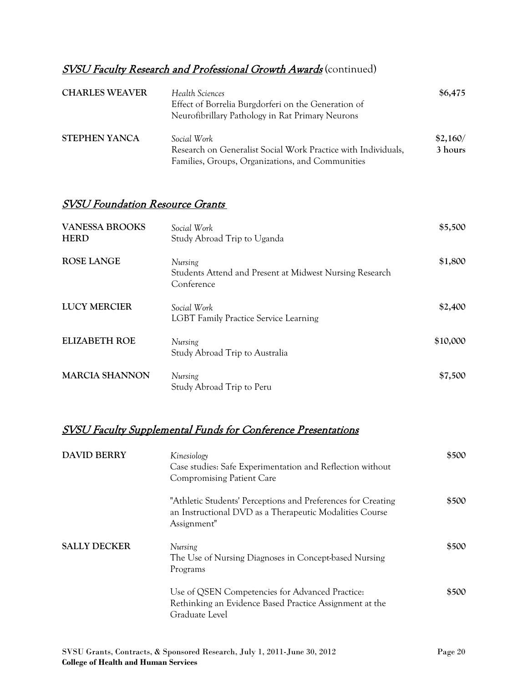### SVSU Faculty Research and Professional Growth Awards (continued)

| <b>CHARLES WEAVER</b> | Health Sciences<br>Effect of Borrelia Burgdorferi on the Generation of<br>Neurofibrillary Pathology in Rat Primary Neurons       | \$6,475             |
|-----------------------|----------------------------------------------------------------------------------------------------------------------------------|---------------------|
| <b>STEPHEN YANCA</b>  | Social Work<br>Research on Generalist Social Work Practice with Individuals,<br>Families, Groups, Organizations, and Communities | \$2,160/<br>3 hours |

#### SVSU Foundation Resource Grants

| <b>VANESSA BROOKS</b><br><b>HERD</b> | Social Work<br>Study Abroad Trip to Uganda                                       | \$5,500  |
|--------------------------------------|----------------------------------------------------------------------------------|----------|
| <b>ROSE LANGE</b>                    | Nursing<br>Students Attend and Present at Midwest Nursing Research<br>Conference | \$1,800  |
| <b>LUCY MERCIER</b>                  | Social Work<br><b>LGBT Family Practice Service Learning</b>                      | \$2,400  |
| <b>ELIZABETH ROE</b>                 | Nursing<br>Study Abroad Trip to Australia                                        | \$10,000 |
| <b>MARCIA SHANNON</b>                | Nursing<br>Study Abroad Trip to Peru                                             | \$7,500  |

| <b>DAVID BERRY</b>  | Kinesiology<br>Case studies: Safe Experimentation and Reflection without<br><b>Compromising Patient Care</b>                           | \$500 |
|---------------------|----------------------------------------------------------------------------------------------------------------------------------------|-------|
|                     | "Athletic Students' Perceptions and Preferences for Creating<br>an Instructional DVD as a Therapeutic Modalities Course<br>Assignment" | \$500 |
| <b>SALLY DECKER</b> | Nursing<br>The Use of Nursing Diagnoses in Concept-based Nursing<br>Programs                                                           | \$500 |
|                     | Use of QSEN Competencies for Advanced Practice:<br>Rethinking an Evidence Based Practice Assignment at the<br>Graduate Level           | \$500 |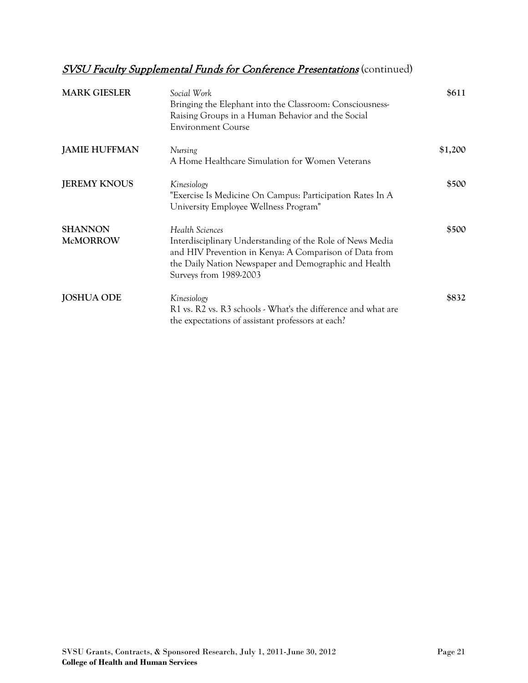| <b>MARK GIESLER</b>               | Social Work<br>Bringing the Elephant into the Classroom: Consciousness-<br>Raising Groups in a Human Behavior and the Social<br><b>Environment Course</b>                                                                 | \$611   |
|-----------------------------------|---------------------------------------------------------------------------------------------------------------------------------------------------------------------------------------------------------------------------|---------|
| <b>JAMIE HUFFMAN</b>              | Nursing<br>A Home Healthcare Simulation for Women Veterans                                                                                                                                                                | \$1,200 |
| <b>JEREMY KNOUS</b>               | Kinesiology<br>"Exercise Is Medicine On Campus: Participation Rates In A<br>University Employee Wellness Program"                                                                                                         | \$500   |
| <b>SHANNON</b><br><b>McMORROW</b> | Health Sciences<br>Interdisciplinary Understanding of the Role of News Media<br>and HIV Prevention in Kenya: A Comparison of Data from<br>the Daily Nation Newspaper and Demographic and Health<br>Surveys from 1989-2003 | \$500   |
| <b>JOSHUA ODE</b>                 | Kinesiology<br>R1 vs. R2 vs. R3 schools - What's the difference and what are<br>the expectations of assistant professors at each?                                                                                         | \$832   |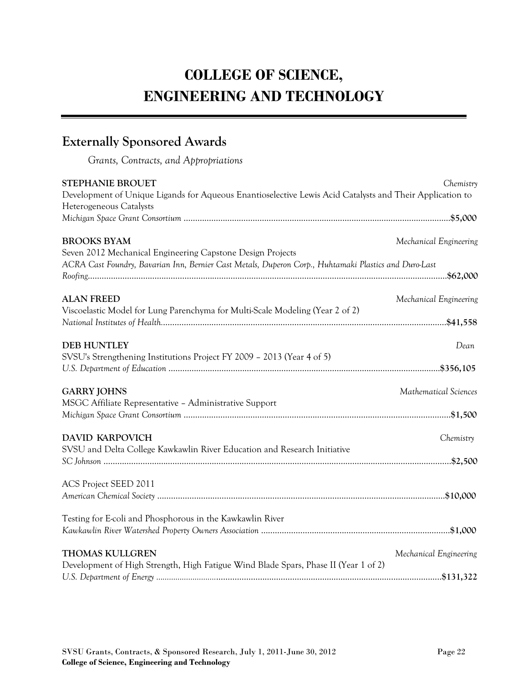# **COLLEGE OF SCIENCE, ENGINEERING AND TECHNOLOGY**

## **Externally Sponsored Awards**

*Grants, Contracts, and Appropriations*

| <b>STEPHANIE BROUET</b><br>Development of Unique Ligands for Aqueous Enantioselective Lewis Acid Catalysts and Their Application to<br>Heterogeneous Catalysts                            | Chemistry              |
|-------------------------------------------------------------------------------------------------------------------------------------------------------------------------------------------|------------------------|
|                                                                                                                                                                                           |                        |
| <b>BROOKS BYAM</b><br>Seven 2012 Mechanical Engineering Capstone Design Projects<br>ACRA Cast Foundry, Bavarian Inn, Bernier Cast Metals, Duperon Corp., Huhtamaki Plastics and Duro-Last | Mechanical Engineering |
|                                                                                                                                                                                           |                        |
| <b>ALAN FREED</b><br>Viscoelastic Model for Lung Parenchyma for Multi-Scale Modeling (Year 2 of 2)                                                                                        | Mechanical Engineering |
| <b>DEB HUNTLEY</b>                                                                                                                                                                        | Dean                   |
| SVSU's Strengthening Institutions Project FY 2009 - 2013 (Year 4 of 5)                                                                                                                    |                        |
| <b>GARRY JOHNS</b>                                                                                                                                                                        | Mathematical Sciences  |
| MSGC Affiliate Representative - Administrative Support                                                                                                                                    |                        |
| <b>DAVID KARPOVICH</b>                                                                                                                                                                    | Chemistry              |
| SVSU and Delta College Kawkawlin River Education and Research Initiative                                                                                                                  |                        |
| ACS Project SEED 2011                                                                                                                                                                     |                        |
| Testing for E-coli and Phosphorous in the Kawkawlin River                                                                                                                                 |                        |
| <b>THOMAS KULLGREN</b>                                                                                                                                                                    | Mechanical Engineering |
| Development of High Strength, High Fatigue Wind Blade Spars, Phase II (Year 1 of 2)                                                                                                       |                        |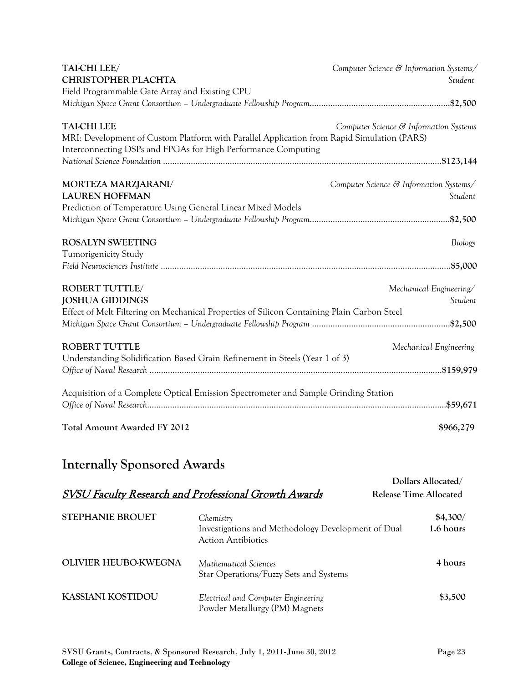| TAI-CHI LEE/                                                                               | Computer Science & Information Systems/ |
|--------------------------------------------------------------------------------------------|-----------------------------------------|
| <b>CHRISTOPHER PLACHTA</b>                                                                 | Student                                 |
| Field Programmable Gate Array and Existing CPU                                             |                                         |
|                                                                                            |                                         |
| <b>TAI-CHI LEE</b>                                                                         | Computer Science & Information Systems  |
| MRI: Development of Custom Platform with Parallel Application from Rapid Simulation (PARS) |                                         |
| Interconnecting DSPs and FPGAs for High Performance Computing                              |                                         |
|                                                                                            |                                         |
| MORTEZA MARZJARANI/                                                                        | Computer Science & Information Systems/ |
| <b>LAUREN HOFFMAN</b>                                                                      | Student                                 |
| Prediction of Temperature Using General Linear Mixed Models                                |                                         |
|                                                                                            |                                         |
| <b>ROSALYN SWEETING</b>                                                                    | Biology                                 |
| <b>Tumorigenicity Study</b>                                                                |                                         |
|                                                                                            |                                         |
| ROBERT TUTTLE/                                                                             | Mechanical Engineering/                 |
| <b>JOSHUA GIDDINGS</b>                                                                     | Student                                 |
| Effect of Melt Filtering on Mechanical Properties of Silicon Containing Plain Carbon Steel |                                         |
|                                                                                            |                                         |
| <b>ROBERT TUTTLE</b>                                                                       | Mechanical Engineering                  |
| Understanding Solidification Based Grain Refinement in Steels (Year 1 of 3)                |                                         |
|                                                                                            |                                         |
| Acquisition of a Complete Optical Emission Spectrometer and Sample Grinding Station        |                                         |
|                                                                                            |                                         |
| <b>Total Amount Awarded FY 2012</b>                                                        | \$966,279                               |
|                                                                                            |                                         |

| <b>SVSU Faculty Research and Professional Growth Awards</b> |                                                                                              | Dollars Allocated/<br><b>Release Time Allocated</b> |
|-------------------------------------------------------------|----------------------------------------------------------------------------------------------|-----------------------------------------------------|
| <b>STEPHANIE BROUET</b>                                     | Chemistry<br>Investigations and Methodology Development of Dual<br><b>Action Antibiotics</b> | \$4,300/<br>1.6 hours                               |
| OLIVIER HEUBO-KWEGNA                                        | Mathematical Sciences<br>Star Operations/Fuzzy Sets and Systems                              | 4 hours                                             |
| KASSIANI KOSTIDOU                                           | Electrical and Computer Engineering<br>Powder Metallurgy (PM) Magnets                        | \$3,500                                             |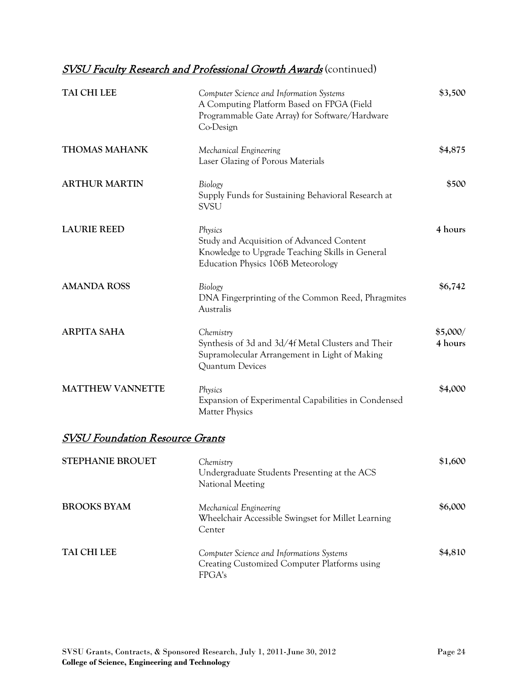### **SVSU Faculty Research and Professional Growth Awards** (continued)

| TAI CHI LEE                            | Computer Science and Information Systems<br>A Computing Platform Based on FPGA (Field<br>Programmable Gate Array) for Software/Hardware<br>Co-Design | \$3,500             |
|----------------------------------------|------------------------------------------------------------------------------------------------------------------------------------------------------|---------------------|
| <b>THOMAS MAHANK</b>                   | Mechanical Engineering<br>Laser Glazing of Porous Materials                                                                                          | \$4,875             |
| <b>ARTHUR MARTIN</b>                   | Biology<br>Supply Funds for Sustaining Behavioral Research at<br><b>SVSU</b>                                                                         | \$500               |
| <b>LAURIE REED</b>                     | Physics<br>Study and Acquisition of Advanced Content<br>Knowledge to Upgrade Teaching Skills in General<br>Education Physics 106B Meteorology        | 4 hours             |
| <b>AMANDA ROSS</b>                     | Biology<br>DNA Fingerprinting of the Common Reed, Phragmites<br>Australis                                                                            | \$6,742             |
| <b>ARPITA SAHA</b>                     | Chemistry<br>Synthesis of 3d and 3d/4f Metal Clusters and Their<br>Supramolecular Arrangement in Light of Making<br>Quantum Devices                  | \$5,000/<br>4 hours |
| <b>MATTHEW VANNETTE</b>                | Physics<br>Expansion of Experimental Capabilities in Condensed<br><b>Matter Physics</b>                                                              | \$4,000             |
| <b>SVSU Foundation Resource Grants</b> |                                                                                                                                                      |                     |
| <b>STEPHANIE BROUET</b>                | Chemistry<br>Undergraduate Students Presenting at the ACS<br>National Meeting                                                                        | \$1,600             |
| <b>BROOKS BYAM</b>                     | Mechanical Engineering                                                                                                                               | \$6,000             |

Wheelchair Accessible Swingset for Millet Learning

Creating Customized Computer Platforms using

Center

FPGA's

**TAI CHI LEE** *Computer Science and Informations Systems*

**\$4,810**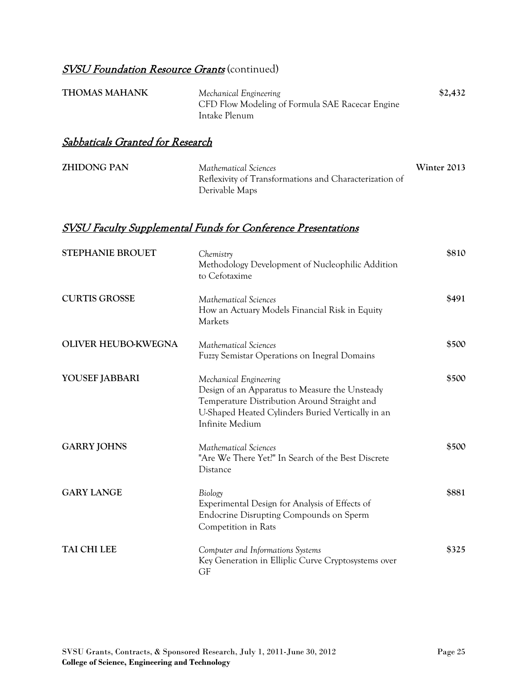### **SVSU Foundation Resource Grants** (continued)

| <b>THOMAS MAHANK</b> | Mechanical Engineering                          | \$2,432 |
|----------------------|-------------------------------------------------|---------|
|                      | CFD Flow Modeling of Formula SAE Racecar Engine |         |
|                      | Intake Plenum                                   |         |

#### Sabbaticals Granted for Research

| <b>ZHIDONG PAN</b> | Mathematical Sciences                                  | Winter 2013 |
|--------------------|--------------------------------------------------------|-------------|
|                    | Reflexivity of Transformations and Characterization of |             |
|                    | Derivable Maps                                         |             |

| <b>STEPHANIE BROUET</b>    | Chemistry<br>Methodology Development of Nucleophilic Addition<br>to Cefotaxime                                                                                                                   | \$810 |
|----------------------------|--------------------------------------------------------------------------------------------------------------------------------------------------------------------------------------------------|-------|
| <b>CURTIS GROSSE</b>       | Mathematical Sciences<br>How an Actuary Models Financial Risk in Equity<br>Markets                                                                                                               | \$491 |
| <b>OLIVER HEUBO-KWEGNA</b> | Mathematical Sciences<br>Fuzzy Semistar Operations on Inegral Domains                                                                                                                            | \$500 |
| YOUSEF JABBARI             | Mechanical Engineering<br>Design of an Apparatus to Measure the Unsteady<br>Temperature Distribution Around Straight and<br>U-Shaped Heated Cylinders Buried Vertically in an<br>Infinite Medium | \$500 |
| <b>GARRY JOHNS</b>         | Mathematical Sciences<br>"Are We There Yet?" In Search of the Best Discrete<br>Distance                                                                                                          | \$500 |
| <b>GARY LANGE</b>          | Biology<br>Experimental Design for Analysis of Effects of<br>Endocrine Disrupting Compounds on Sperm<br>Competition in Rats                                                                      | \$881 |
| <b>TAI CHI LEE</b>         | Computer and Informations Systems<br>Key Generation in Elliplic Curve Cryptosystems over<br>GF                                                                                                   | \$325 |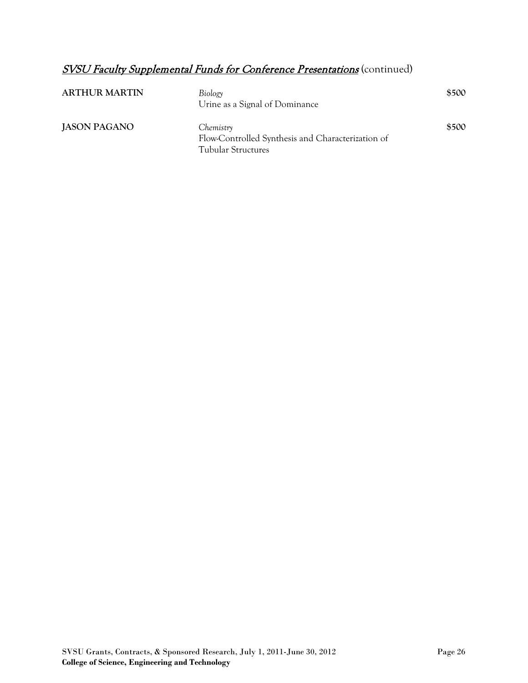| <b>ARTHUR MARTIN</b> | Biology<br>Urine as a Signal of Dominance                                                   | \$500 |
|----------------------|---------------------------------------------------------------------------------------------|-------|
| <b>JASON PAGANO</b>  | Chemistry<br>Flow-Controlled Synthesis and Characterization of<br><b>Tubular Structures</b> | \$500 |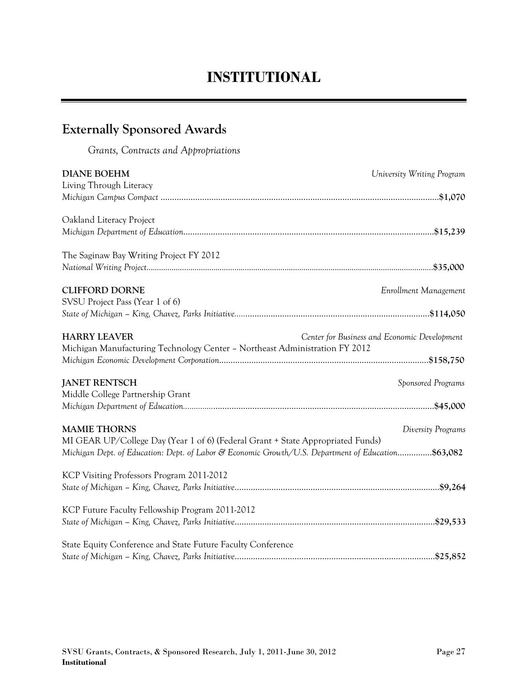# **INSTITUTIONAL**

## **Externally Sponsored Awards**

*Grants, Contracts and Appropriations*

| <b>DIANE BOEHM</b>                                                                                 | University Writing Program                   |
|----------------------------------------------------------------------------------------------------|----------------------------------------------|
| Living Through Literacy                                                                            |                                              |
|                                                                                                    |                                              |
|                                                                                                    |                                              |
| Oakland Literacy Project                                                                           |                                              |
|                                                                                                    |                                              |
|                                                                                                    |                                              |
| The Saginaw Bay Writing Project FY 2012                                                            |                                              |
|                                                                                                    |                                              |
|                                                                                                    |                                              |
| <b>CLIFFORD DORNE</b>                                                                              | Enrollment Management                        |
| SVSU Project Pass (Year 1 of 6)                                                                    |                                              |
|                                                                                                    |                                              |
|                                                                                                    |                                              |
| <b>HARRY LEAVER</b>                                                                                | Center for Business and Economic Development |
| Michigan Manufacturing Technology Center - Northeast Administration FY 2012                        |                                              |
|                                                                                                    |                                              |
|                                                                                                    |                                              |
| <b>JANET RENTSCH</b>                                                                               | Sponsored Programs                           |
| Middle College Partnership Grant                                                                   |                                              |
|                                                                                                    |                                              |
|                                                                                                    |                                              |
| <b>MAMIE THORNS</b>                                                                                | Diversity Programs                           |
| MI GEAR UP/College Day (Year 1 of 6) (Federal Grant + State Appropriated Funds)                    |                                              |
|                                                                                                    |                                              |
| Michigan Dept. of Education: Dept. of Labor & Economic Growth/U.S. Department of Education\$63,082 |                                              |
| KCP Visiting Professors Program 2011-2012                                                          |                                              |
|                                                                                                    |                                              |
|                                                                                                    |                                              |
| KCP Future Faculty Fellowship Program 2011-2012                                                    |                                              |
|                                                                                                    |                                              |
|                                                                                                    |                                              |
| State Equity Conference and State Future Faculty Conference                                        |                                              |
|                                                                                                    |                                              |
|                                                                                                    |                                              |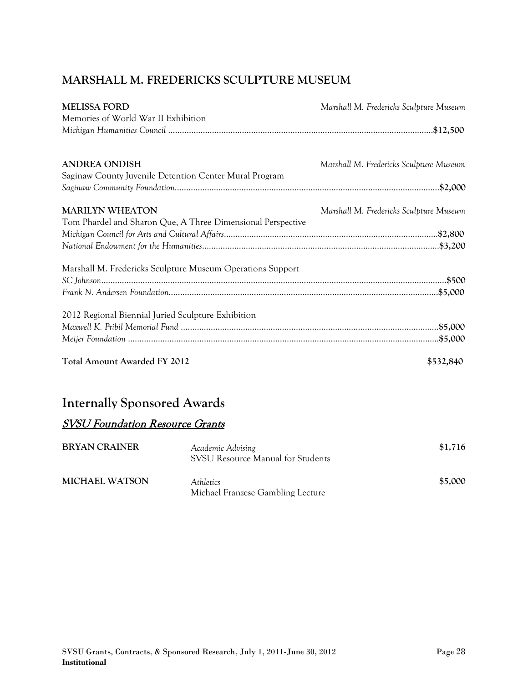### **MARSHALL M. FREDERICKS SCULPTURE MUSEUM**

| <b>Total Amount Awarded FY 2012</b>                         | \$532,840                               |
|-------------------------------------------------------------|-----------------------------------------|
|                                                             |                                         |
|                                                             |                                         |
| 2012 Regional Biennial Juried Sculpture Exhibition          |                                         |
|                                                             |                                         |
|                                                             |                                         |
| Marshall M. Fredericks Sculpture Museum Operations Support  |                                         |
|                                                             |                                         |
|                                                             |                                         |
| Tom Phardel and Sharon Que, A Three Dimensional Perspective |                                         |
| <b>MARILYN WHEATON</b>                                      | Marshall M. Fredericks Sculpture Museum |
|                                                             |                                         |
| Saginaw County Juvenile Detention Center Mural Program      |                                         |
| <b>ANDREA ONDISH</b>                                        | Marshall M. Fredericks Sculpture Museum |
|                                                             |                                         |
| Memories of World War II Exhibition                         |                                         |
| <b>MELISSA FORD</b>                                         | Marshall M. Fredericks Sculpture Museum |

## **Internally Sponsored Awards**

### SVSU Foundation Resource Grants

| <b>BRYAN CRAINER</b>  | Academic Advising<br>SVSU Resource Manual for Students       | \$1,716 |
|-----------------------|--------------------------------------------------------------|---------|
| <b>MICHAEL WATSON</b> | <i><u>Athletics</u></i><br>Michael Franzese Gambling Lecture | \$5,000 |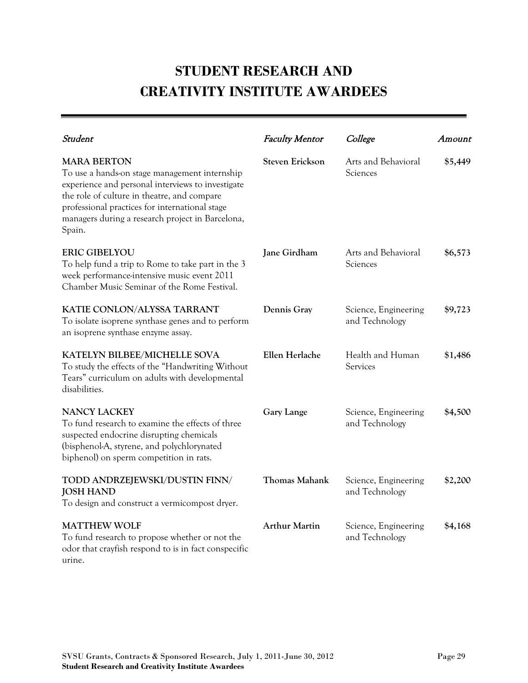# **STUDENT RESEARCH AND CREATIVITY INSTITUTE AWARDEES**

| Student                                                                                                                                                                                                                                                                                 | <b>Faculty Mentor</b>  | College                                | Amount  |
|-----------------------------------------------------------------------------------------------------------------------------------------------------------------------------------------------------------------------------------------------------------------------------------------|------------------------|----------------------------------------|---------|
| <b>MARA BERTON</b><br>To use a hands-on stage management internship<br>experience and personal interviews to investigate<br>the role of culture in theatre, and compare<br>professional practices for international stage<br>managers during a research project in Barcelona,<br>Spain. | <b>Steven Erickson</b> | Arts and Behavioral<br>Sciences        | \$5,449 |
| <b>ERIC GIBELYOU</b><br>To help fund a trip to Rome to take part in the 3<br>week performance-intensive music event 2011<br>Chamber Music Seminar of the Rome Festival.                                                                                                                 | Jane Girdham           | Arts and Behavioral<br>Sciences        | \$6,573 |
| KATIE CONLON/ALYSSA TARRANT<br>To isolate isoprene synthase genes and to perform<br>an isoprene synthase enzyme assay.                                                                                                                                                                  | Dennis Gray            | Science, Engineering<br>and Technology | \$9,723 |
| KATELYN BILBEE/MICHELLE SOVA<br>To study the effects of the "Handwriting Without<br>Tears" curriculum on adults with developmental<br>disabilities.                                                                                                                                     | Ellen Herlache         | Health and Human<br>Services           | \$1,486 |
| <b>NANCY LACKEY</b><br>To fund research to examine the effects of three<br>suspected endocrine disrupting chemicals<br>(bisphenol-A, styrene, and polychlorynated<br>biphenol) on sperm competition in rats.                                                                            | <b>Gary Lange</b>      | Science, Engineering<br>and Technology | \$4,500 |
| TODD ANDRZEJEWSKI/DUSTIN FINN/<br><b>JOSH HAND</b><br>To design and construct a vermicompost dryer.                                                                                                                                                                                     | <b>Thomas Mahank</b>   | Science, Engineering<br>and Technology | \$2,200 |
| <b>MATTHEW WOLF</b><br>To fund research to propose whether or not the<br>odor that crayfish respond to is in fact conspecific<br>urine.                                                                                                                                                 | <b>Arthur Martin</b>   | Science, Engineering<br>and Technology | \$4,168 |